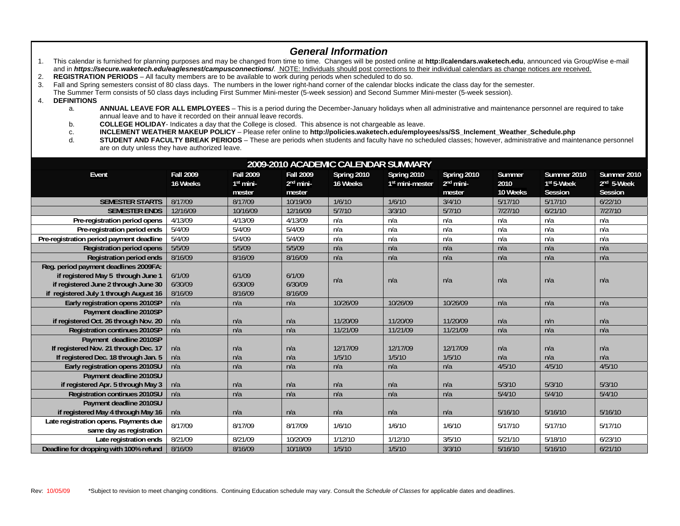## *General Information*

- 1. This calendar is furnished for planning purposes and may be changed from time to time. Changes will be posted online at **http://calendars.waketech.edu**, announced via GroupWise e-mail and in **https://secure.waketech.edu/eaglesnest/campusconnections/**. NOTE: Individuals should post corrections to their individual calendars as change notices are received.
- 2. **REGISTRATION PERIODS** All faculty members are to be available to work during periods when scheduled to do so.
- 3. Fall and Spring semesters consist of 80 class days. The numbers in the lower right-hand corner of the calendar blocks indicate the class day for the semester.
- The Summer Term consists of 50 class days including First Summer Mini-mester (5-week session) and Second Summer Mini-mester (5-week session).
- 4. **DEFINITIONS**
	- a. **ANNUAL LEAVE FOR ALL EMPLOYEES** This is a period during the December-January holidays when all administrative and maintenance personnel are required to take annual leave and to have it recorded on their annual leave records.
	- b. **COLLEGE HOLIDAY** Indicates a day that the College is closed. This absence is not chargeable as leave.
	- c. **INCLEMENT WEATHER MAKEUP POLICY**  Please refer online to **http://policies.waketech.edu/employees/ss/SS\_Inclement\_Weather\_Schedule.php**
	- **STUDENT AND FACULTY BREAK PERIODS** These are periods when students and faculty have no scheduled classes; however, administrative and maintenance personnel are on duty unless they have authorized leave.

| 2009-2010 ACADEMIC CALENDAR SUMMARY      |                              |                                           |                                           |                         |                                            |                                                |                            |                                                  |                                                         |  |  |
|------------------------------------------|------------------------------|-------------------------------------------|-------------------------------------------|-------------------------|--------------------------------------------|------------------------------------------------|----------------------------|--------------------------------------------------|---------------------------------------------------------|--|--|
| Event                                    | <b>Fall 2009</b><br>16 Weeks | <b>Fall 2009</b><br>$1st$ mini-<br>mester | <b>Fall 2009</b><br>$2nd$ mini-<br>mester | Spring 2010<br>16 Weeks | Spring 2010<br>1 <sup>st</sup> mini-mester | Spring 2010<br>2 <sup>nd</sup> mini-<br>mester | Summer<br>2010<br>10 Weeks | Summer 2010<br>1 <sup>st</sup> 5-Week<br>Session | Summer 2010<br>2 <sup>nd</sup> 5-Week<br><b>Session</b> |  |  |
| <b>SEMESTER STARTS</b>                   | 8/17/09                      | 8/17/09                                   | 10/19/09                                  | 1/6/10                  | 1/6/10                                     | 3/4/10                                         | 5/17/10                    | 5/17/10                                          | 6/22/10                                                 |  |  |
| <b>SEMESTER ENDS</b>                     | 12/16/09                     | 10/16/09                                  | 12/16/09                                  | 5/7/10                  | 3/3/10                                     | 5/7/10                                         | 7/27/10                    | 6/21/10                                          | 7/27/10                                                 |  |  |
| Pre-registration period opens            | 4/13/09                      | 4/13/09                                   | 4/13/09                                   | n/a                     | n/a                                        | n/a                                            | n/a                        | n/a                                              | n/a                                                     |  |  |
| Pre-registration period ends             | 5/4/09                       | 5/4/09                                    | 5/4/09                                    | n/a                     | n/a                                        | n/a                                            | n/a                        | n/a                                              | n/a                                                     |  |  |
| Pre-registration period payment deadline | 5/4/09                       | 5/4/09                                    | 5/4/09                                    | n/a                     | n/a                                        | n/a                                            | n/a                        | n/a                                              | n/a                                                     |  |  |
| <b>Registration period opens</b>         | 5/5/09                       | 5/5/09                                    | 5/5/09                                    | n/a                     | n/a                                        | n/a                                            | n/a                        | n/a                                              | n/a                                                     |  |  |
| <b>Registration period ends</b>          | 8/16/09                      | 8/16/09                                   | 8/16/09                                   | n/a                     | n/a                                        | n/a                                            | n/a                        | n/a                                              | n/a                                                     |  |  |
| Reg. period payment deadlines 2009FA:    |                              |                                           |                                           |                         |                                            |                                                |                            |                                                  |                                                         |  |  |
| if registered May 5 through June 1       | 6/1/09                       | 6/1/09                                    | 6/1/09                                    |                         |                                            |                                                |                            |                                                  |                                                         |  |  |
| if registered June 2 through June 30     | 6/30/09                      | 6/30/09                                   | 6/30/09                                   | n/a                     | n/a                                        | n/a                                            | n/a                        | n/a                                              | n/a                                                     |  |  |
| if registered July 1 through August 16   | 8/16/09                      | 8/16/09                                   | 8/16/09                                   |                         |                                            |                                                |                            |                                                  |                                                         |  |  |
| Early registration opens 2010SP          | n/a                          | n/a                                       | n/a                                       | 10/26/09                | 10/26/09                                   | 10/26/09                                       | n/a                        | n/a                                              | n/a                                                     |  |  |
| Payment deadline 2010SP                  |                              |                                           |                                           |                         |                                            |                                                |                            |                                                  |                                                         |  |  |
| if registered Oct. 26 through Nov. 20    | n/a                          | n/a                                       | n/a                                       | 11/20/09                | 11/20/09                                   | 11/20/09                                       | n/a                        | n/n                                              | n/a                                                     |  |  |
| Registration continues 2010SP            | n/a                          | n/a                                       | n/a                                       | 11/21/09                | 11/21/09                                   | 11/21/09                                       | n/a                        | n/a                                              | n/a                                                     |  |  |
| Payment deadline 2010SP                  |                              |                                           |                                           |                         |                                            |                                                |                            |                                                  |                                                         |  |  |
| If registered Nov. 21 through Dec. 17    | n/a                          | n/a                                       | n/a                                       | 12/17/09                | 12/17/09                                   | 12/17/09                                       | n/a                        | n/a                                              | n/a                                                     |  |  |
| If registered Dec. 18 through Jan. 5     | n/a                          | n/a                                       | n/a                                       | 1/5/10                  | 1/5/10                                     | 1/5/10                                         | n/a                        | n/a                                              | n/a                                                     |  |  |
| Early registration opens 2010SU          | n/a                          | n/a                                       | n/a                                       | n/a                     | n/a                                        | n/a                                            | 4/5/10                     | 4/5/10                                           | 4/5/10                                                  |  |  |
| Payment deadline 2010SU                  |                              |                                           |                                           |                         |                                            |                                                |                            |                                                  |                                                         |  |  |
| if registered Apr. 5 through May 3       | n/a                          | n/a                                       | n/a                                       | n/a                     | n/a                                        | n/a                                            | 5/3/10                     | 5/3/10                                           | 5/3/10                                                  |  |  |
| <b>Registration continues 2010SU</b>     | n/a                          | n/a                                       | n/a                                       | n/a                     | n/a                                        | n/a                                            | 5/4/10                     | 5/4/10                                           | 5/4/10                                                  |  |  |
| Payment deadline 2010SU                  |                              |                                           |                                           |                         |                                            |                                                |                            |                                                  |                                                         |  |  |
| if registered May 4 through May 16       | n/a                          | n/a                                       | n/a                                       | n/a                     | n/a                                        | n/a                                            | 5/16/10                    | 5/16/10                                          | 5/16/10                                                 |  |  |
| Late registration opens. Payments due    | 8/17/09                      | 8/17/09                                   | 8/17/09                                   | 1/6/10                  | 1/6/10                                     | 1/6/10                                         | 5/17/10                    | 5/17/10                                          | 5/17/10                                                 |  |  |
| same day as registration                 |                              |                                           |                                           |                         |                                            |                                                |                            |                                                  |                                                         |  |  |
| Late registration ends                   | 8/21/09                      | 8/21/09                                   | 10/20/09                                  | 1/12/10                 | 1/12/10                                    | 3/5/10                                         | 5/21/10                    | 5/18/10                                          | 6/23/10                                                 |  |  |
| Deadline for dropping with 100% refund   | 8/16/09                      | 8/16/09                                   | 10/18/09                                  | 1/5/10                  | 1/5/10                                     | 3/3/10                                         | 5/16/10                    | 5/16/10                                          | 6/21/10                                                 |  |  |